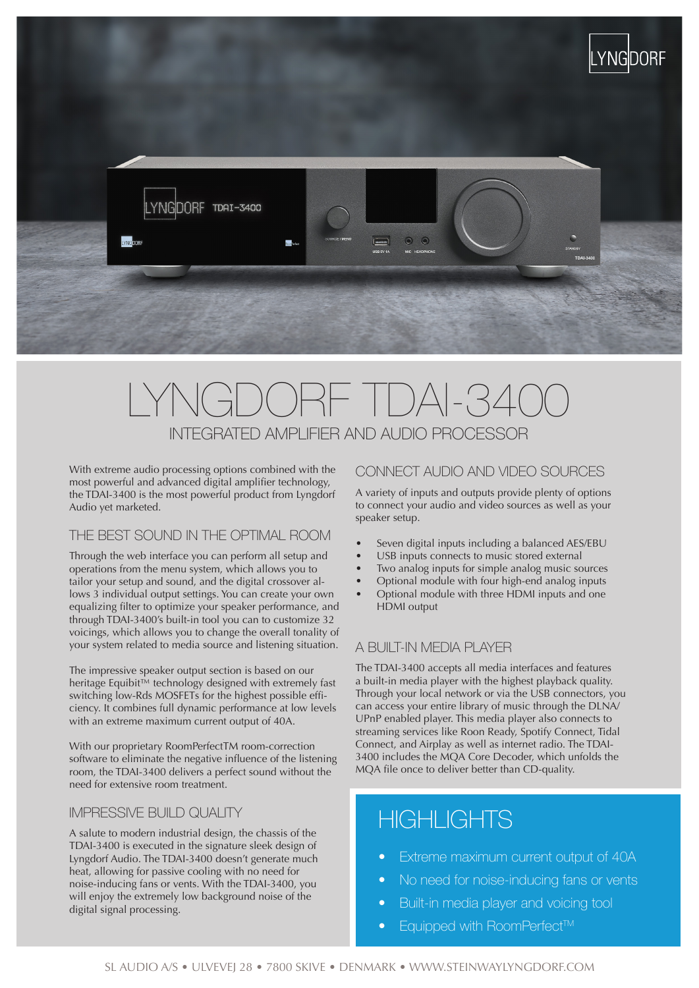

# RE TDAI-340 INTEGRATED AMPLIFIER AND AUDIO PROCESSOR

With extreme audio processing options combined with the most powerful and advanced digital amplifier technology, the TDAI-3400 is the most powerful product from Lyngdorf Audio yet marketed.

## THE BEST SOUND IN THE OPTIMAL ROOM

Through the web interface you can perform all setup and operations from the menu system, which allows you to tailor your setup and sound, and the digital crossover allows 3 individual output settings. You can create your own equalizing filter to optimize your speaker performance, and through TDAI-3400's built-in tool you can to customize 32 voicings, which allows you to change the overall tonality of your system related to media source and listening situation.

The impressive speaker output section is based on our heritage Equibit™ technology designed with extremely fast switching low-Rds MOSFETs for the highest possible efficiency. It combines full dynamic performance at low levels with an extreme maximum current output of 40A.

With our proprietary RoomPerfectTM room-correction software to eliminate the negative influence of the listening room, the TDAI-3400 delivers a perfect sound without the need for extensive room treatment.

#### IMPRESSIVE BUILD QUALITY

A salute to modern industrial design, the chassis of the TDAI-3400 is executed in the signature sleek design of Lyngdorf Audio. The TDAI-3400 doesn't generate much heat, allowing for passive cooling with no need for noise-inducing fans or vents. With the TDAI-3400, you will enjoy the extremely low background noise of the digital signal processing.

#### CONNECT AUDIO AND VIDEO SOURCES

A variety of inputs and outputs provide plenty of options to connect your audio and video sources as well as your speaker setup.

- Seven digital inputs including a balanced AES/EBU
- USB inputs connects to music stored external
- Two analog inputs for simple analog music sources
- Optional module with four high-end analog inputs
- Optional module with three HDMI inputs and one HDMI output

#### A BUILT-IN MEDIA PLAYER

The TDAI-3400 accepts all media interfaces and features a built-in media player with the highest playback quality. Through your local network or via the USB connectors, you can access your entire library of music through the DLNA/ UPnP enabled player. This media player also connects to streaming services like Roon Ready, Spotify Connect, Tidal Connect, and Airplay as well as internet radio. The TDAI-3400 includes the MQA Core Decoder, which unfolds the MQA file once to deliver better than CD-quality.

# **HIGHLIGHTS**

- Extreme maximum current output of 40A
- No need for noise-inducing fans or vents
- Built-in media player and voicing tool
- **Equipped with RoomPerfect™**